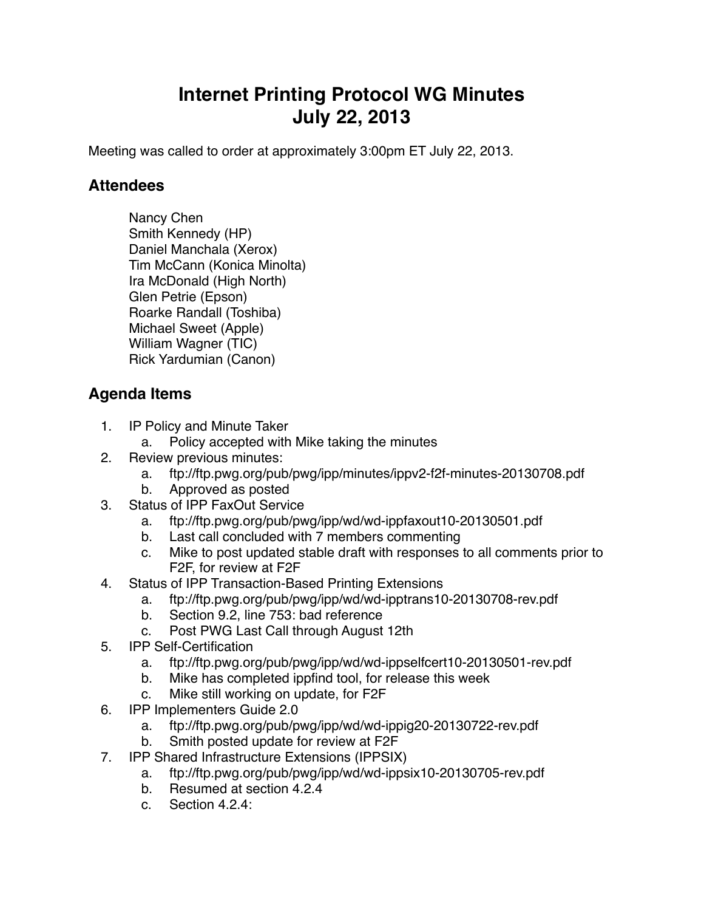## **Internet Printing Protocol WG Minutes July 22, 2013**

Meeting was called to order at approximately 3:00pm ET July 22, 2013.

## **Attendees**

Nancy Chen Smith Kennedy (HP) Daniel Manchala (Xerox) Tim McCann (Konica Minolta) Ira McDonald (High North) Glen Petrie (Epson) Roarke Randall (Toshiba) Michael Sweet (Apple) William Wagner (TIC) Rick Yardumian (Canon)

## **Agenda Items**

- 1. IP Policy and Minute Taker
	- a. Policy accepted with Mike taking the minutes
- 2. Review previous minutes:
	- a. ftp://ftp.pwg.org/pub/pwg/ipp/minutes/ippv2-f2f-minutes-20130708.pdf
	- b. Approved as posted
- 3. Status of IPP FaxOut Service
	- a. ftp://ftp.pwg.org/pub/pwg/ipp/wd/wd-ippfaxout10-20130501.pdf
	- b. Last call concluded with 7 members commenting
	- c. Mike to post updated stable draft with responses to all comments prior to F2F, for review at F2F
- 4. Status of IPP Transaction-Based Printing Extensions
	- a. ftp://ftp.pwg.org/pub/pwg/ipp/wd/wd-ipptrans10-20130708-rev.pdf
	- b. Section 9.2, line 753: bad reference
	- c. Post PWG Last Call through August 12th
- 5. IPP Self-Certification
	- a. ftp://ftp.pwg.org/pub/pwg/ipp/wd/wd-ippselfcert10-20130501-rev.pdf
	- b. Mike has completed ippfind tool, for release this week
	- c. Mike still working on update, for F2F
- 6. IPP Implementers Guide 2.0
	- a. ftp://ftp.pwg.org/pub/pwg/ipp/wd/wd-ippig20-20130722-rev.pdf
	- b. Smith posted update for review at F2F
- 7. IPP Shared Infrastructure Extensions (IPPSIX)
	- a. ftp://ftp.pwg.org/pub/pwg/ipp/wd/wd-ippsix10-20130705-rev.pdf
	- b. Resumed at section 4.2.4
	- c. Section 4.2.4: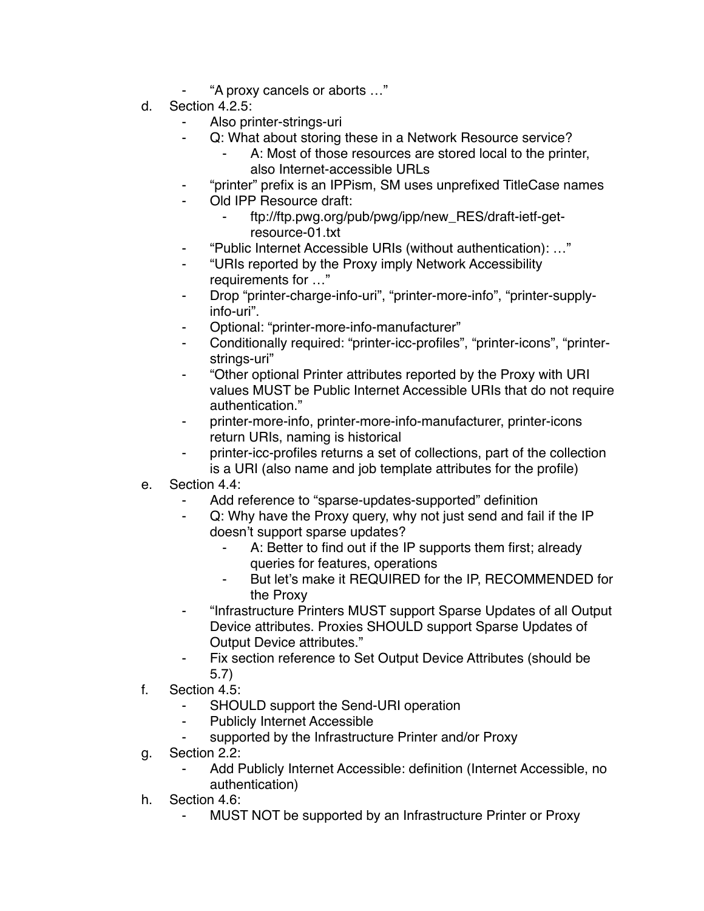- ⁃ "A proxy cancels or aborts …"
- d. Section 4.2.5:
	- Also printer-strings-uri
	- ⁃ Q: What about storing these in a Network Resource service?
		- A: Most of those resources are stored local to the printer, also Internet-accessible URLs
	- ⁃ "printer" prefix is an IPPism, SM uses unprefixed TitleCase names
	- Old IPP Resource draft:
		- ⁃ ftp://ftp.pwg.org/pub/pwg/ipp/new\_RES/draft-ietf-getresource-01.txt
	- ⁃ "Public Internet Accessible URIs (without authentication): …"
	- ⁃ "URIs reported by the Proxy imply Network Accessibility requirements for …"
	- Drop "printer-charge-info-uri", "printer-more-info", "printer-supplyinfo-uri".
	- ⁃ Optional: "printer-more-info-manufacturer"
	- ⁃ Conditionally required: "printer-icc-profiles", "printer-icons", "printerstrings-uri"
	- ⁃ "Other optional Printer attributes reported by the Proxy with URI values MUST be Public Internet Accessible URIs that do not require authentication."
	- ⁃ printer-more-info, printer-more-info-manufacturer, printer-icons return URIs, naming is historical
	- ⁃ printer-icc-profiles returns a set of collections, part of the collection is a URI (also name and job template attributes for the profile)
- e. Section 4.4:
	- Add reference to "sparse-updates-supported" definition
	- Q: Why have the Proxy query, why not just send and fail if the IP doesn't support sparse updates?
		- A: Better to find out if the IP supports them first; already queries for features, operations
		- ⁃ But let's make it REQUIRED for the IP, RECOMMENDED for the Proxy
	- ⁃ "Infrastructure Printers MUST support Sparse Updates of all Output Device attributes. Proxies SHOULD support Sparse Updates of Output Device attributes."
	- ⁃ Fix section reference to Set Output Device Attributes (should be 5.7)
- f. Section 4.5:
	- SHOULD support the Send-URI operation
	- ⁃ Publicly Internet Accessible
	- ⁃ supported by the Infrastructure Printer and/or Proxy
- g. Section 2.2:
	- ⁃ Add Publicly Internet Accessible: definition (Internet Accessible, no authentication)
- h. Section 4.6:
	- MUST NOT be supported by an Infrastructure Printer or Proxy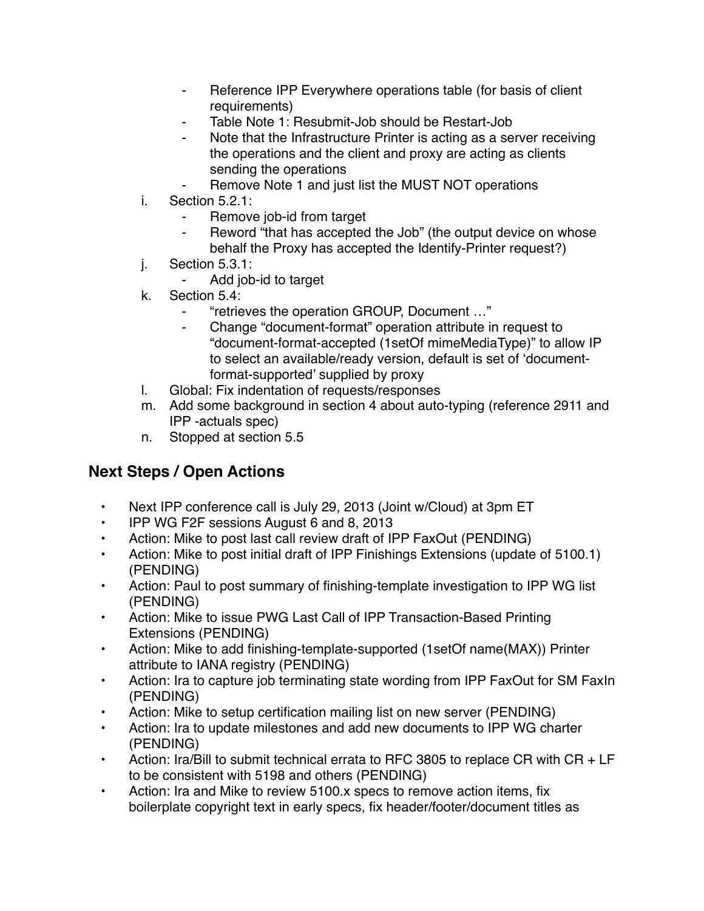- ⁃ Reference IPP Everywhere operations table (for basis of client requirements)
- Table Note 1: Resubmit-Job should be Restart-Job
- Note that the Infrastructure Printer is acting as a server receiving the operations and the client and proxy are acting as clients sending the operations
- Remove Note 1 and just list the MUST NOT operations
- i. Section 5.2.1:
	- Remove job-id from target
	- ⁃ Reword "that has accepted the Job" (the output device on whose behalf the Proxy has accepted the Identify-Printer request?)
- j. Section 5.3.1:
	- Add job-id to target
- k. Section 5.4:
	- ⁃ "retrieves the operation GROUP, Document …"
	- Change "document-format" operation attribute in request to "document-format-accepted (1setOf mimeMediaType)" to allow IP to select an available/ready version, default is set of 'documentformat-supported' supplied by proxy
- l. Global: Fix indentation of requests/responses
- m. Add some background in section 4 about auto-typing (reference 2911 and IPP -actuals spec)
- n. Stopped at section 5.5

## **Next Steps / Open Actions**

- Next IPP conference call is July 29, 2013 (Joint w/Cloud) at 3pm ET
- IPP WG F2F sessions August 6 and 8, 2013
- Action: Mike to post last call review draft of IPP FaxOut (PENDING)
- Action: Mike to post initial draft of IPP Finishings Extensions (update of 5100.1) (PENDING)
- Action: Paul to post summary of finishing-template investigation to IPP WG list (PENDING)
- Action: Mike to issue PWG Last Call of IPP Transaction-Based Printing Extensions (PENDING)
- Action: Mike to add finishing-template-supported (1setOf name(MAX)) Printer attribute to IANA registry (PENDING)
- Action: Ira to capture job terminating state wording from IPP FaxOut for SM FaxIn (PENDING)
- Action: Mike to setup certification mailing list on new server (PENDING)
- Action: Ira to update milestones and add new documents to IPP WG charter (PENDING)
- Action: Ira/Bill to submit technical errata to RFC 3805 to replace CR with CR + LF to be consistent with 5198 and others (PENDING)
- Action: Ira and Mike to review 5100.x specs to remove action items, fix boilerplate copyright text in early specs, fix header/footer/document titles as